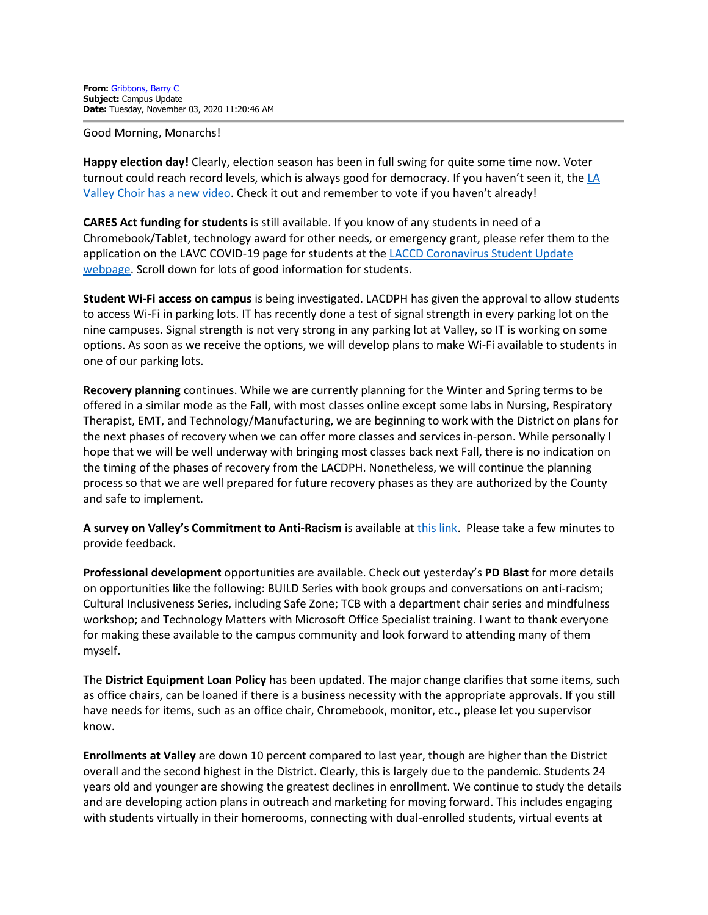Good Morning, Monarchs!

**Happy election day!** Clearly, election season has been in full swing for quite some time now. Voter turnout could reach record levels, which is always good for democracy. If you haven't seen it, the LA [Valley Choir has a new video.](https://www.youtube.com/watch?v=Vl6vICn8h-8) Check it out and remember to vote if you haven't already!

**CARES Act funding for students** is still available. If you know of any students in need of a Chromebook/Tablet, technology award for other needs, or emergency grant, please refer them to the application on the LAVC COVID-19 page for students at the LACCD Coronavirus Student Update [webpage.](https://www.lavc.edu/Coronavirus/Student-Updates.aspx) Scroll down for lots of good information for students.

**Student Wi-Fi access on campus** is being investigated. LACDPH has given the approval to allow students to access Wi-Fi in parking lots. IT has recently done a test of signal strength in every parking lot on the nine campuses. Signal strength is not very strong in any parking lot at Valley, so IT is working on some options. As soon as we receive the options, we will develop plans to make Wi-Fi available to students in one of our parking lots.

**Recovery planning** continues. While we are currently planning for the Winter and Spring terms to be offered in a similar mode as the Fall, with most classes online except some labs in Nursing, Respiratory Therapist, EMT, and Technology/Manufacturing, we are beginning to work with the District on plans for the next phases of recovery when we can offer more classes and services in-person. While personally I hope that we will be well underway with bringing most classes back next Fall, there is no indication on the timing of the phases of recovery from the LACDPH. Nonetheless, we will continue the planning process so that we are well prepared for future recovery phases as they are authorized by the County and safe to implement.

**A survey on Valley's Commitment to Anti-Racism** is available at [this link.](https://www.surveymonkey.com/r/ZD5ZDJZ) Please take a few minutes to provide feedback.

**Professional development** opportunities are available. Check out yesterday's **PD Blast** for more details on opportunities like the following: BUILD Series with book groups and conversations on anti-racism; Cultural Inclusiveness Series, including Safe Zone; TCB with a department chair series and mindfulness workshop; and Technology Matters with Microsoft Office Specialist training. I want to thank everyone for making these available to the campus community and look forward to attending many of them myself.

The **District Equipment Loan Policy** has been updated. The major change clarifies that some items, such as office chairs, can be loaned if there is a business necessity with the appropriate approvals. If you still have needs for items, such as an office chair, Chromebook, monitor, etc., please let you supervisor know.

**Enrollments at Valley** are down 10 percent compared to last year, though are higher than the District overall and the second highest in the District. Clearly, this is largely due to the pandemic. Students 24 years old and younger are showing the greatest declines in enrollment. We continue to study the details and are developing action plans in outreach and marketing for moving forward. This includes engaging with students virtually in their homerooms, connecting with dual-enrolled students, virtual events at